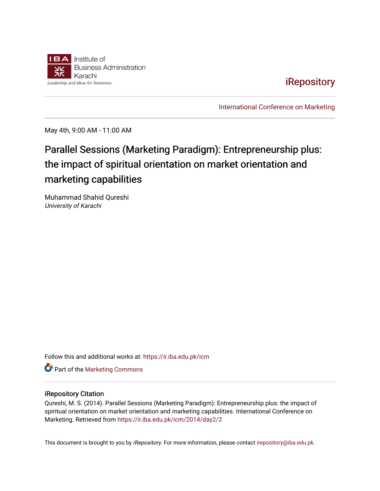

[iRepository](https://ir.iba.edu.pk/) 

[International Conference on Marketing](https://ir.iba.edu.pk/icm) 

May 4th, 9:00 AM - 11:00 AM

# Parallel Sessions (Marketing Paradigm): Entrepreneurship plus: the impact of spiritual orientation on market orientation and marketing capabilities

Muhammad Shahid Qureshi University of Karachi

Follow this and additional works at: [https://ir.iba.edu.pk/icm](https://ir.iba.edu.pk/icm?utm_source=ir.iba.edu.pk%2Ficm%2F2014%2Fday2%2F2&utm_medium=PDF&utm_campaign=PDFCoverPages) 

**Part of the [Marketing Commons](http://network.bepress.com/hgg/discipline/638?utm_source=ir.iba.edu.pk%2Ficm%2F2014%2Fday2%2F2&utm_medium=PDF&utm_campaign=PDFCoverPages)** 

#### iRepository Citation

Qureshi, M. S. (2014). Parallel Sessions (Marketing Paradigm): Entrepreneurship plus: the impact of spiritual orientation on market orientation and marketing capabilities. International Conference on Marketing. Retrieved from [https://ir.iba.edu.pk/icm/2014/day2/2](https://ir.iba.edu.pk/icm/2014/day2/2?utm_source=ir.iba.edu.pk%2Ficm%2F2014%2Fday2%2F2&utm_medium=PDF&utm_campaign=PDFCoverPages) 

This document is brought to you by iRepository. For more information, please contact [irepository@iba.edu.pk](mailto:irepository@iba.edu.pk).